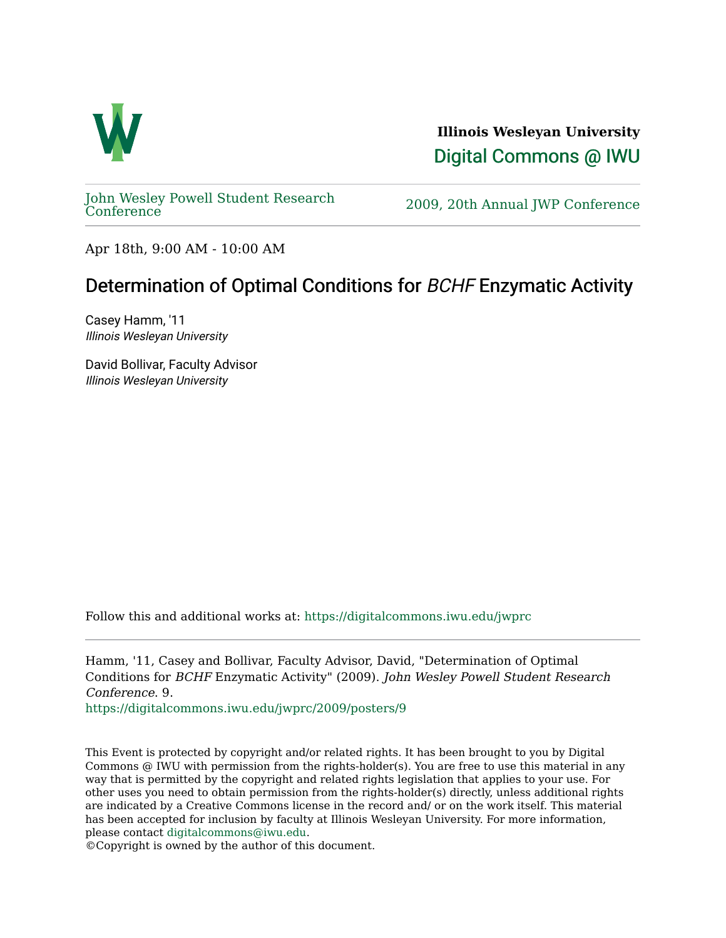

**Illinois Wesleyan University**  [Digital Commons @ IWU](https://digitalcommons.iwu.edu/) 

[John Wesley Powell Student Research](https://digitalcommons.iwu.edu/jwprc) 

2009, 20th Annual JWP [Conference](https://digitalcommons.iwu.edu/jwprc)

Apr 18th, 9:00 AM - 10:00 AM

## Determination of Optimal Conditions for BCHF Enzymatic Activity

Casey Hamm, '11 Illinois Wesleyan University

David Bollivar, Faculty Advisor Illinois Wesleyan University

Follow this and additional works at: [https://digitalcommons.iwu.edu/jwprc](https://digitalcommons.iwu.edu/jwprc?utm_source=digitalcommons.iwu.edu%2Fjwprc%2F2009%2Fposters%2F9&utm_medium=PDF&utm_campaign=PDFCoverPages) 

Hamm, '11, Casey and Bollivar, Faculty Advisor, David, "Determination of Optimal Conditions for BCHF Enzymatic Activity" (2009). John Wesley Powell Student Research Conference. 9.

[https://digitalcommons.iwu.edu/jwprc/2009/posters/9](https://digitalcommons.iwu.edu/jwprc/2009/posters/9?utm_source=digitalcommons.iwu.edu%2Fjwprc%2F2009%2Fposters%2F9&utm_medium=PDF&utm_campaign=PDFCoverPages) 

This Event is protected by copyright and/or related rights. It has been brought to you by Digital Commons @ IWU with permission from the rights-holder(s). You are free to use this material in any way that is permitted by the copyright and related rights legislation that applies to your use. For other uses you need to obtain permission from the rights-holder(s) directly, unless additional rights are indicated by a Creative Commons license in the record and/ or on the work itself. This material has been accepted for inclusion by faculty at Illinois Wesleyan University. For more information, please contact [digitalcommons@iwu.edu.](mailto:digitalcommons@iwu.edu)

©Copyright is owned by the author of this document.